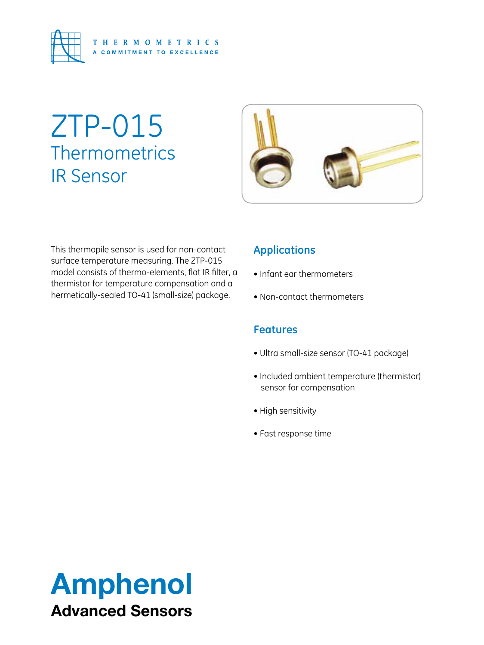

# ZTP-015 **Thermometrics** IR Sensor



This thermopile sensor is used for non-contact surface temperature measuring. The ZTP-015 model consists of thermo-elements, flat IR filter, a thermistor for temperature compensation and a hermetically-sealed TO-41 (small-size) package.

### **Applications**

- Infant ear thermometers
- Non-contact thermometers

#### **Features**

- Ultra small-size sensor (TO-41 package)
- Included ambient temperature (thermistor) sensor for compensation
- High sensitivity
- Fast response time

## Amphenol Advanced Sensors